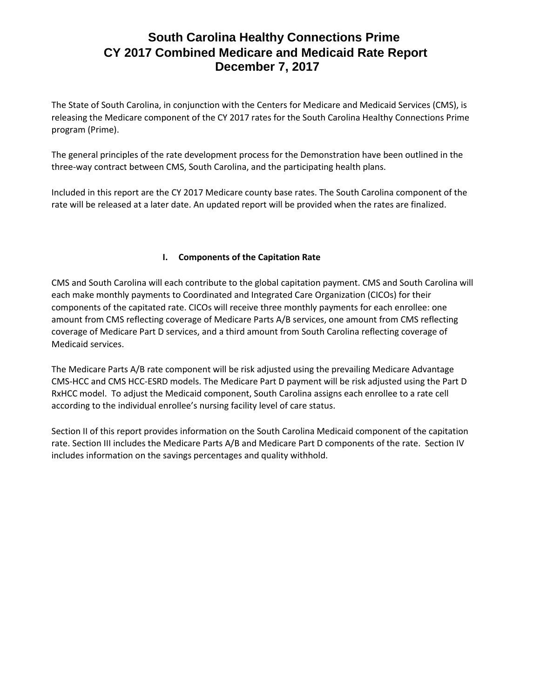The State of South Carolina, in conjunction with the Centers for Medicare and Medicaid Services (CMS), is releasing the Medicare component of the CY 2017 rates for the South Carolina Healthy Connections Prime program (Prime).

The general principles of the rate development process for the Demonstration have been outlined in the three-way contract between CMS, South Carolina, and the participating health plans.

Included in this report are the CY 2017 Medicare county base rates. The South Carolina component of the rate will be released at a later date. An updated report will be provided when the rates are finalized.

### **I. Components of the Capitation Rate**

CMS and South Carolina will each contribute to the global capitation payment. CMS and South Carolina will each make monthly payments to Coordinated and Integrated Care Organization (CICOs) for their components of the capitated rate. CICOs will receive three monthly payments for each enrollee: one amount from CMS reflecting coverage of Medicare Parts A/B services, one amount from CMS reflecting coverage of Medicare Part D services, and a third amount from South Carolina reflecting coverage of Medicaid services.

The Medicare Parts A/B rate component will be risk adjusted using the prevailing Medicare Advantage CMS-HCC and CMS HCC-ESRD models. The Medicare Part D payment will be risk adjusted using the Part D RxHCC model. To adjust the Medicaid component, South Carolina assigns each enrollee to a rate cell according to the individual enrollee's nursing facility level of care status.

Section II of this report provides information on the South Carolina Medicaid component of the capitation rate. Section III includes the Medicare Parts A/B and Medicare Part D components of the rate. Section IV includes information on the savings percentages and quality withhold.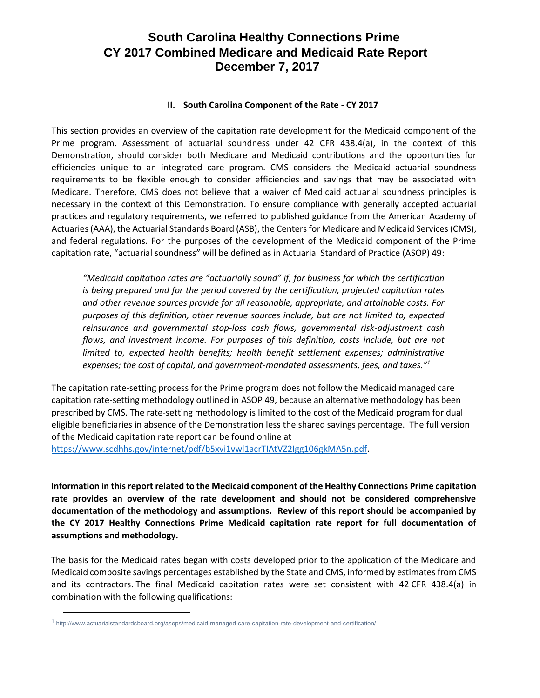#### **II. South Carolina Component of the Rate - CY 2017**

This section provides an overview of the capitation rate development for the Medicaid component of the Prime program. Assessment of actuarial soundness under 42 CFR 438.4(a), in the context of this Demonstration, should consider both Medicare and Medicaid contributions and the opportunities for efficiencies unique to an integrated care program. CMS considers the Medicaid actuarial soundness requirements to be flexible enough to consider efficiencies and savings that may be associated with Medicare. Therefore, CMS does not believe that a waiver of Medicaid actuarial soundness principles is necessary in the context of this Demonstration. To ensure compliance with generally accepted actuarial practices and regulatory requirements, we referred to published guidance from the American Academy of Actuaries (AAA), the Actuarial Standards Board (ASB), the Centers for Medicare and Medicaid Services (CMS), and federal regulations. For the purposes of the development of the Medicaid component of the Prime capitation rate, "actuarial soundness" will be defined as in Actuarial Standard of Practice (ASOP) 49:

*"Medicaid capitation rates are "actuarially sound" if, for business for which the certification is being prepared and for the period covered by the certification, projected capitation rates and other revenue sources provide for all reasonable, appropriate, and attainable costs. For purposes of this definition, other revenue sources include, but are not limited to, expected reinsurance and governmental stop-loss cash flows, governmental risk-adjustment cash flows, and investment income. For purposes of this definition, costs include, but are not limited to, expected health benefits; health benefit settlement expenses; administrative expenses; the cost of capital, and government-mandated assessments, fees, and taxes."<sup>1</sup>*

The capitation rate-setting process for the Prime program does not follow the Medicaid managed care capitation rate-setting methodology outlined in ASOP 49, because an alternative methodology has been prescribed by CMS. The rate-setting methodology is limited to the cost of the Medicaid program for dual eligible beneficiaries in absence of the Demonstration less the shared savings percentage. The full version of the Medicaid capitation rate report can be found online at

[https://www.scdhhs.gov/internet/pdf/b5xvi1vwl1acrTIAtVZ2Igg106gkMA5n.pdf.](https://www.scdhhs.gov/internet/pdf/b5xvi1vwl1acrTIAtVZ2Igg106gkMA5n.pdf)

**Information in this report related to the Medicaid component of the Healthy Connections Prime capitation rate provides an overview of the rate development and should not be considered comprehensive documentation of the methodology and assumptions. Review of this report should be accompanied by the CY 2017 Healthy Connections Prime Medicaid capitation rate report for full documentation of assumptions and methodology.** 

The basis for the Medicaid rates began with costs developed prior to the application of the Medicare and Medicaid composite savings percentages established by the State and CMS, informed by estimates from CMS and its contractors. The final Medicaid capitation rates were set consistent with 42 CFR 438.4(a) in combination with the following qualifications:

 $\overline{a}$ 

<sup>1</sup> http://www.actuarialstandardsboard.org/asops/medicaid-managed-care-capitation-rate-development-and-certification/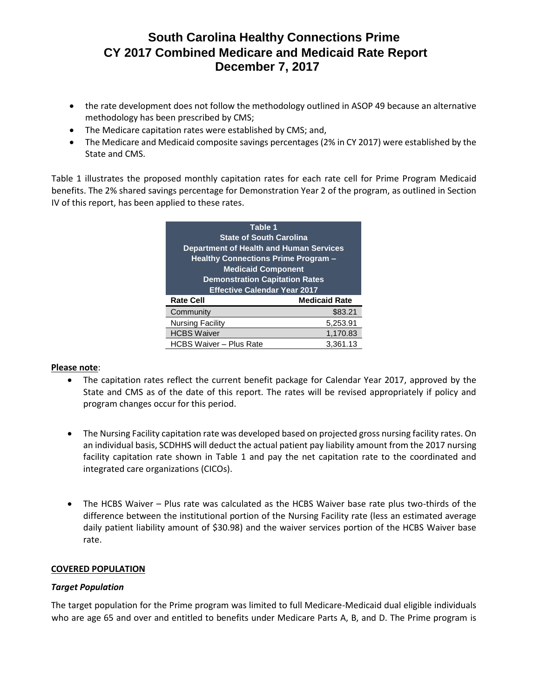- the rate development does not follow the methodology outlined in ASOP 49 because an alternative methodology has been prescribed by CMS;
- The Medicare capitation rates were established by CMS; and,
- The Medicare and Medicaid composite savings percentages (2% in CY 2017) were established by the State and CMS.

Table 1 illustrates the proposed monthly capitation rates for each rate cell for Prime Program Medicaid benefits. The 2% shared savings percentage for Demonstration Year 2 of the program, as outlined in Section IV of this report, has been applied to these rates.

| Table 1                                    |                                       |  |  |
|--------------------------------------------|---------------------------------------|--|--|
| <b>State of South Carolina</b>             |                                       |  |  |
| Department of Health and Human Services    |                                       |  |  |
| <b>Healthy Connections Prime Program -</b> |                                       |  |  |
| <b>Medicaid Component</b>                  |                                       |  |  |
|                                            | <b>Demonstration Capitation Rates</b> |  |  |
| <b>Effective Calendar Year 2017</b>        |                                       |  |  |
| <b>Rate Cell</b>                           | <b>Medicaid Rate</b>                  |  |  |
| Community                                  | \$83.21                               |  |  |
| <b>Nursing Facility</b>                    | 5,253.91                              |  |  |
| <b>HCBS Waiver</b>                         | 1,170.83                              |  |  |
| <b>HCBS Waiver - Plus Rate</b>             | 3.361.13                              |  |  |

#### **Please note**:

- The capitation rates reflect the current benefit package for Calendar Year 2017, approved by the State and CMS as of the date of this report. The rates will be revised appropriately if policy and program changes occur for this period.
- The Nursing Facility capitation rate was developed based on projected gross nursing facility rates. On an individual basis, SCDHHS will deduct the actual patient pay liability amount from the 2017 nursing facility capitation rate shown in Table 1 and pay the net capitation rate to the coordinated and integrated care organizations (CICOs).
- The HCBS Waiver Plus rate was calculated as the HCBS Waiver base rate plus two-thirds of the difference between the institutional portion of the Nursing Facility rate (less an estimated average daily patient liability amount of \$30.98) and the waiver services portion of the HCBS Waiver base rate.

#### **COVERED POPULATION**

#### *Target Population*

The target population for the Prime program was limited to full Medicare-Medicaid dual eligible individuals who are age 65 and over and entitled to benefits under Medicare Parts A, B, and D. The Prime program is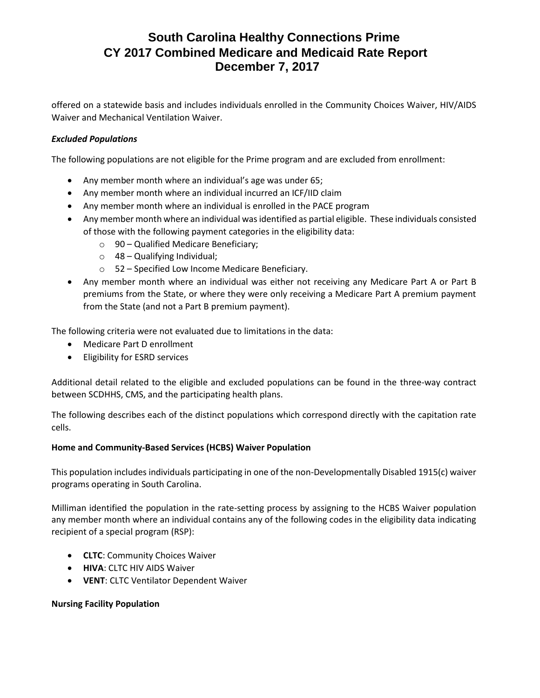offered on a statewide basis and includes individuals enrolled in the Community Choices Waiver, HIV/AIDS Waiver and Mechanical Ventilation Waiver.

#### *Excluded Populations*

The following populations are not eligible for the Prime program and are excluded from enrollment:

- Any member month where an individual's age was under 65;
- Any member month where an individual incurred an ICF/IID claim
- Any member month where an individual is enrolled in the PACE program
- Any member month where an individual was identified as partial eligible. These individuals consisted of those with the following payment categories in the eligibility data:
	- $\circ$  90 Qualified Medicare Beneficiary;
	- $\circ$  48 Qualifying Individual;
	- o 52 Specified Low Income Medicare Beneficiary.
- Any member month where an individual was either not receiving any Medicare Part A or Part B premiums from the State, or where they were only receiving a Medicare Part A premium payment from the State (and not a Part B premium payment).

The following criteria were not evaluated due to limitations in the data:

- Medicare Part D enrollment
- Eligibility for ESRD services

Additional detail related to the eligible and excluded populations can be found in the three-way contract between SCDHHS, CMS, and the participating health plans.

The following describes each of the distinct populations which correspond directly with the capitation rate cells.

#### **Home and Community-Based Services (HCBS) Waiver Population**

This population includes individuals participating in one of the non-Developmentally Disabled 1915(c) waiver programs operating in South Carolina.

Milliman identified the population in the rate-setting process by assigning to the HCBS Waiver population any member month where an individual contains any of the following codes in the eligibility data indicating recipient of a special program (RSP):

- **CLTC**: Community Choices Waiver
- **HIVA**: CLTC HIV AIDS Waiver
- **VENT**: CLTC Ventilator Dependent Waiver

#### **Nursing Facility Population**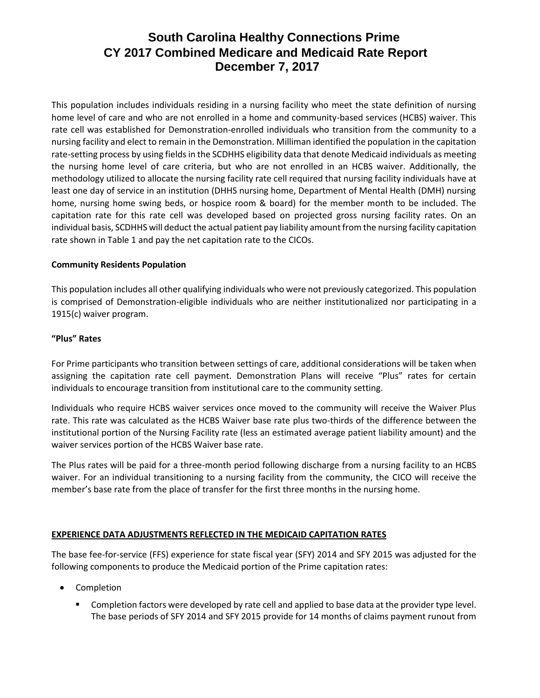This population includes individuals residing in a nursing facility who meet the state definition of nursing home level of care and who are not enrolled in a home and community-based services (HCBS) waiver. This rate cell was established for Demonstration-enrolled individuals who transition from the community to a nursing facility and elect to remain in the Demonstration. Milliman identified the population in the capitation rate-setting process by using fields in the SCDHHS eligibility data that denote Medicaid individuals as meeting the nursing home level of care criteria, but who are not enrolled in an HCBS waiver. Additionally, the methodology utilized to allocate the nursing facility rate cell required that nursing facility individuals have at least one day of service in an institution (DHHS nursing home, Department of Mental Health (DMH) nursing home, nursing home swing beds, or hospice room & board) for the member month to be included. The capitation rate for this rate cell was developed based on projected gross nursing facility rates. On an individual basis, SCDHHS will deduct the actual patient pay liability amount from the nursing facility capitation rate shown in Table 1 and pay the net capitation rate to the CICOs.

#### **Community Residents Population**

This population includes all other qualifying individuals who were not previously categorized. This population is comprised of Demonstration-eligible individuals who are neither institutionalized nor participating in a 1915(c) waiver program.

#### **"Plus" Rates**

For Prime participants who transition between settings of care, additional considerations will be taken when assigning the capitation rate cell payment. Demonstration Plans will receive "Plus" rates for certain individuals to encourage transition from institutional care to the community setting.

Individuals who require HCBS waiver services once moved to the community will receive the Waiver Plus rate. This rate was calculated as the HCBS Waiver base rate plus two-thirds of the difference between the institutional portion of the Nursing Facility rate (less an estimated average patient liability amount) and the waiver services portion of the HCBS Waiver base rate.

The Plus rates will be paid for a three-month period following discharge from a nursing facility to an HCBS waiver. For an individual transitioning to a nursing facility from the community, the CICO will receive the member's base rate from the place of transfer for the first three months in the nursing home.

#### **EXPERIENCE DATA ADJUSTMENTS REFLECTED IN THE MEDICAID CAPITATION RATES**

The base fee-for-service (FFS) experience for state fiscal year (SFY) 2014 and SFY 2015 was adjusted for the following components to produce the Medicaid portion of the Prime capitation rates:

- Completion
	- Completion factors were developed by rate cell and applied to base data at the provider type level. The base periods of SFY 2014 and SFY 2015 provide for 14 months of claims payment runout from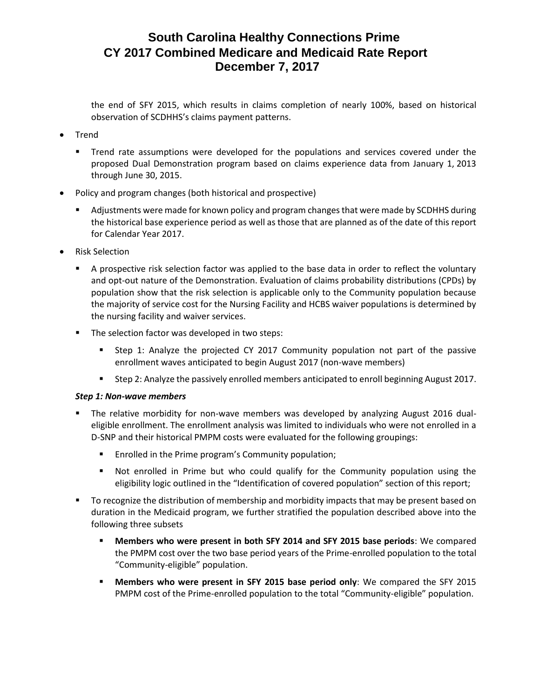the end of SFY 2015, which results in claims completion of nearly 100%, based on historical observation of SCDHHS's claims payment patterns.

- Trend
	- Trend rate assumptions were developed for the populations and services covered under the proposed Dual Demonstration program based on claims experience data from January 1, 2013 through June 30, 2015.
- Policy and program changes (both historical and prospective)
	- **■** Adjustments were made for known policy and program changes that were made by SCDHHS during the historical base experience period as well as those that are planned as of the date of this report for Calendar Year 2017.
- Risk Selection
	- A prospective risk selection factor was applied to the base data in order to reflect the voluntary and opt-out nature of the Demonstration. Evaluation of claims probability distributions (CPDs) by population show that the risk selection is applicable only to the Community population because the majority of service cost for the Nursing Facility and HCBS waiver populations is determined by the nursing facility and waiver services.
	- The selection factor was developed in two steps:
		- Step 1: Analyze the projected CY 2017 Community population not part of the passive enrollment waves anticipated to begin August 2017 (non-wave members)
		- Step 2: Analyze the passively enrolled members anticipated to enroll beginning August 2017.

#### *Step 1: Non-wave members*

- The relative morbidity for non-wave members was developed by analyzing August 2016 dualeligible enrollment. The enrollment analysis was limited to individuals who were not enrolled in a D-SNP and their historical PMPM costs were evaluated for the following groupings:
	- Enrolled in the Prime program's Community population;
	- Not enrolled in Prime but who could qualify for the Community population using the eligibility logic outlined in the "Identification of covered population" section of this report;
- To recognize the distribution of membership and morbidity impacts that may be present based on duration in the Medicaid program, we further stratified the population described above into the following three subsets
	- **Members who were present in both SFY 2014 and SFY 2015 base periods**: We compared the PMPM cost over the two base period years of the Prime-enrolled population to the total "Community-eligible" population.
	- **Members who were present in SFY 2015 base period only:** We compared the SFY 2015 PMPM cost of the Prime-enrolled population to the total "Community-eligible" population.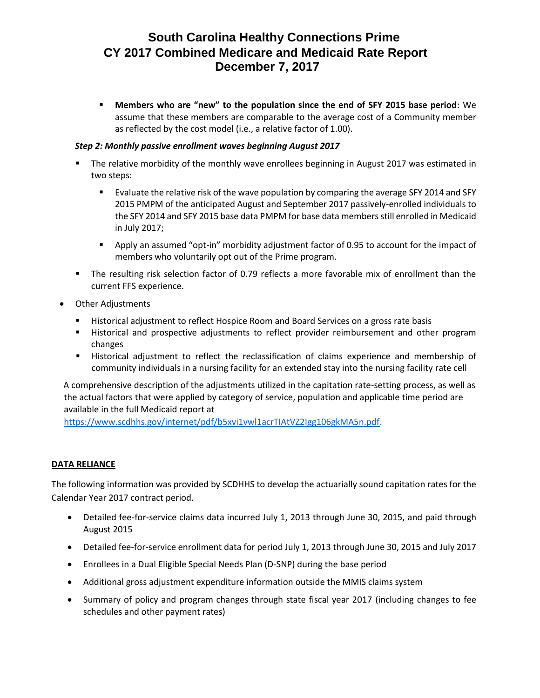▪ **Members who are "new" to the population since the end of SFY 2015 base period**: We assume that these members are comparable to the average cost of a Community member as reflected by the cost model (i.e., a relative factor of 1.00).

#### *Step 2: Monthly passive enrollment waves beginning August 2017*

- The relative morbidity of the monthly wave enrollees beginning in August 2017 was estimated in two steps:
	- Evaluate the relative risk of the wave population by comparing the average SFY 2014 and SFY 2015 PMPM of the anticipated August and September 2017 passively-enrolled individuals to the SFY 2014 and SFY 2015 base data PMPM for base data members still enrolled in Medicaid in July 2017;
	- Apply an assumed "opt-in" morbidity adjustment factor of 0.95 to account for the impact of members who voluntarily opt out of the Prime program.
- The resulting risk selection factor of 0.79 reflects a more favorable mix of enrollment than the current FFS experience.
- Other Adjustments
	- Historical adjustment to reflect Hospice Room and Board Services on a gross rate basis
	- **EXECT** Historical and prospective adjustments to reflect provider reimbursement and other program changes
	- **■** Historical adjustment to reflect the reclassification of claims experience and membership of community individuals in a nursing facility for an extended stay into the nursing facility rate cell

A comprehensive description of the adjustments utilized in the capitation rate-setting process, as well as the actual factors that were applied by category of service, population and applicable time period are available in the full Medicaid report at

[https://www.scdhhs.gov/internet/pdf/b5xvi1vwl1acrTIAtVZ2Igg106gkMA5n.pdf.](https://www.scdhhs.gov/internet/pdf/b5xvi1vwl1acrTIAtVZ2Igg106gkMA5n.pdf)

#### **DATA RELIANCE**

The following information was provided by SCDHHS to develop the actuarially sound capitation rates for the Calendar Year 2017 contract period.

- Detailed fee-for-service claims data incurred July 1, 2013 through June 30, 2015, and paid through August 2015
- Detailed fee-for-service enrollment data for period July 1, 2013 through June 30, 2015 and July 2017
- Enrollees in a Dual Eligible Special Needs Plan (D-SNP) during the base period
- Additional gross adjustment expenditure information outside the MMIS claims system
- Summary of policy and program changes through state fiscal year 2017 (including changes to fee schedules and other payment rates)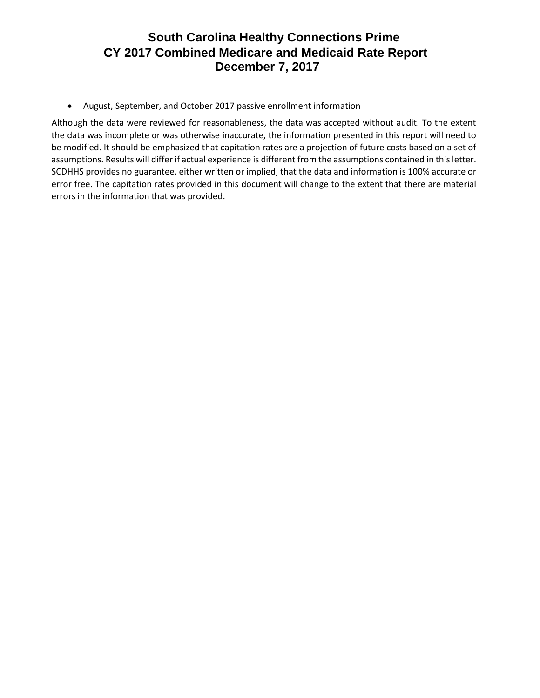• August, September, and October 2017 passive enrollment information

Although the data were reviewed for reasonableness, the data was accepted without audit. To the extent the data was incomplete or was otherwise inaccurate, the information presented in this report will need to be modified. It should be emphasized that capitation rates are a projection of future costs based on a set of assumptions. Results will differ if actual experience is different from the assumptions contained in this letter. SCDHHS provides no guarantee, either written or implied, that the data and information is 100% accurate or error free. The capitation rates provided in this document will change to the extent that there are material errors in the information that was provided.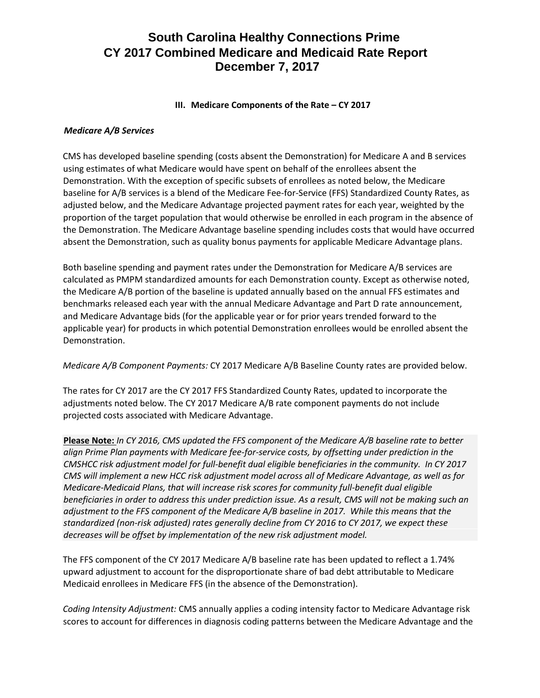#### **III.** Medicare Components of the Rate – CY 2017

#### *Medicare A/B Services*

CMS has developed baseline spending (costs absent the Demonstration) for Medicare A and B services using estimates of what Medicare would have spent on behalf of the enrollees absent the Demonstration. With the exception of specific subsets of enrollees as noted below, the Medicare baseline for A/B services is a blend of the Medicare Fee-for-Service (FFS) Standardized County Rates, as adjusted below, and the Medicare Advantage projected payment rates for each year, weighted by the proportion of the target population that would otherwise be enrolled in each program in the absence of the Demonstration. The Medicare Advantage baseline spending includes costs that would have occurred absent the Demonstration, such as quality bonus payments for applicable Medicare Advantage plans.

Both baseline spending and payment rates under the Demonstration for Medicare A/B services are calculated as PMPM standardized amounts for each Demonstration county. Except as otherwise noted, the Medicare A/B portion of the baseline is updated annually based on the annual FFS estimates and benchmarks released each year with the annual Medicare Advantage and Part D rate announcement, and Medicare Advantage bids (for the applicable year or for prior years trended forward to the applicable year) for products in which potential Demonstration enrollees would be enrolled absent the Demonstration.

*Medicare A/B Component Payments:* CY 2017 Medicare A/B Baseline County rates are provided below.

The rates for CY 2017 are the CY 2017 FFS Standardized County Rates, updated to incorporate the adjustments noted below. The CY 2017 Medicare A/B rate component payments do not include projected costs associated with Medicare Advantage.

**Please Note:** *In CY 2016, CMS updated the FFS component of the Medicare A/B baseline rate to better align Prime Plan payments with Medicare fee-for-service costs, by offsetting under prediction in the CMSHCC risk adjustment model for full-benefit dual eligible beneficiaries in the community. In CY 2017 CMS will implement a new HCC risk adjustment model across all of Medicare Advantage, as well as for Medicare-Medicaid Plans, that will increase risk scores for community full-benefit dual eligible beneficiaries in order to address this under prediction issue. As a result, CMS will not be making such an adjustment to the FFS component of the Medicare A/B baseline in 2017. While this means that the standardized (non-risk adjusted) rates generally decline from CY 2016 to CY 2017, we expect these decreases will be offset by implementation of the new risk adjustment model.* 

The FFS component of the CY 2017 Medicare A/B baseline rate has been updated to reflect a 1.74% upward adjustment to account for the disproportionate share of bad debt attributable to Medicare Medicaid enrollees in Medicare FFS (in the absence of the Demonstration).

*Coding Intensity Adjustment:* CMS annually applies a coding intensity factor to Medicare Advantage risk scores to account for differences in diagnosis coding patterns between the Medicare Advantage and the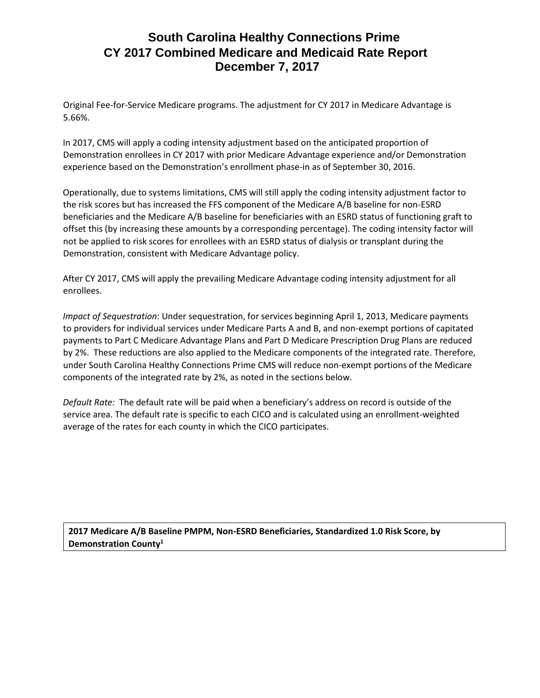Original Fee-for-Service Medicare programs. The adjustment for CY 2017 in Medicare Advantage is 5.66%.

In 2017, CMS will apply a coding intensity adjustment based on the anticipated proportion of Demonstration enrollees in CY 2017 with prior Medicare Advantage experience and/or Demonstration experience based on the Demonstration's enrollment phase-in as of September 30, 2016.

Operationally, due to systems limitations, CMS will still apply the coding intensity adjustment factor to the risk scores but has increased the FFS component of the Medicare A/B baseline for non-ESRD beneficiaries and the Medicare A/B baseline for beneficiaries with an ESRD status of functioning graft to offset this (by increasing these amounts by a corresponding percentage). The coding intensity factor will not be applied to risk scores for enrollees with an ESRD status of dialysis or transplant during the Demonstration, consistent with Medicare Advantage policy.

After CY 2017, CMS will apply the prevailing Medicare Advantage coding intensity adjustment for all enrollees.

*Impact of Sequestration*: Under sequestration, for services beginning April 1, 2013, Medicare payments to providers for individual services under Medicare Parts A and B, and non-exempt portions of capitated payments to Part C Medicare Advantage Plans and Part D Medicare Prescription Drug Plans are reduced by 2%. These reductions are also applied to the Medicare components of the integrated rate. Therefore, under South Carolina Healthy Connections Prime CMS will reduce non-exempt portions of the Medicare components of the integrated rate by 2%, as noted in the sections below.

*Default Rate:* The default rate will be paid when a beneficiary's address on record is outside of the service area. The default rate is specific to each CICO and is calculated using an enrollment-weighted average of the rates for each county in which the CICO participates.

**2017 Medicare A/B Baseline PMPM, Non-ESRD Beneficiaries, Standardized 1.0 Risk Score, by Demonstration County1**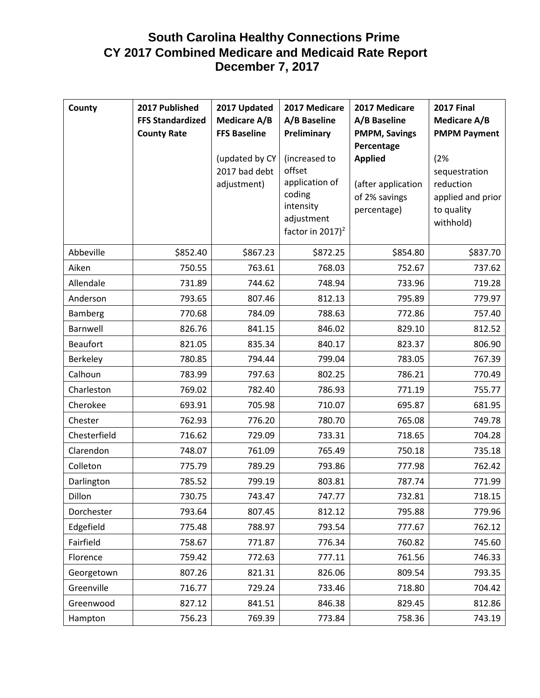| County          | 2017 Published<br><b>FFS Standardized</b><br><b>County Rate</b> | 2017 Updated<br><b>Medicare A/B</b><br><b>FFS Baseline</b> | 2017 Medicare<br>A/B Baseline<br>Preliminary                                                                   | 2017 Medicare<br>A/B Baseline<br><b>PMPM, Savings</b><br>Percentage  | <b>2017 Final</b><br><b>Medicare A/B</b><br><b>PMPM Payment</b>                   |
|-----------------|-----------------------------------------------------------------|------------------------------------------------------------|----------------------------------------------------------------------------------------------------------------|----------------------------------------------------------------------|-----------------------------------------------------------------------------------|
|                 |                                                                 | (updated by CY<br>2017 bad debt<br>adjustment)             | (increased to<br>offset<br>application of<br>coding<br>intensity<br>adjustment<br>factor in 2017) <sup>2</sup> | <b>Applied</b><br>(after application<br>of 2% savings<br>percentage) | (2%<br>sequestration<br>reduction<br>applied and prior<br>to quality<br>withhold) |
| Abbeville       | \$852.40                                                        | \$867.23                                                   | \$872.25                                                                                                       | \$854.80                                                             | \$837.70                                                                          |
| Aiken           | 750.55                                                          | 763.61                                                     | 768.03                                                                                                         | 752.67                                                               | 737.62                                                                            |
| Allendale       | 731.89                                                          | 744.62                                                     | 748.94                                                                                                         | 733.96                                                               | 719.28                                                                            |
| Anderson        | 793.65                                                          | 807.46                                                     | 812.13                                                                                                         | 795.89                                                               | 779.97                                                                            |
| Bamberg         | 770.68                                                          | 784.09                                                     | 788.63                                                                                                         | 772.86                                                               | 757.40                                                                            |
| Barnwell        | 826.76                                                          | 841.15                                                     | 846.02                                                                                                         | 829.10                                                               | 812.52                                                                            |
| <b>Beaufort</b> | 821.05                                                          | 835.34                                                     | 840.17                                                                                                         | 823.37                                                               | 806.90                                                                            |
| Berkeley        | 780.85                                                          | 794.44                                                     | 799.04                                                                                                         | 783.05                                                               | 767.39                                                                            |
| Calhoun         | 783.99                                                          | 797.63                                                     | 802.25                                                                                                         | 786.21                                                               | 770.49                                                                            |
| Charleston      | 769.02                                                          | 782.40                                                     | 786.93                                                                                                         | 771.19                                                               | 755.77                                                                            |
| Cherokee        | 693.91                                                          | 705.98                                                     | 710.07                                                                                                         | 695.87                                                               | 681.95                                                                            |
| Chester         | 762.93                                                          | 776.20                                                     | 780.70                                                                                                         | 765.08                                                               | 749.78                                                                            |
| Chesterfield    | 716.62                                                          | 729.09                                                     | 733.31                                                                                                         | 718.65                                                               | 704.28                                                                            |
| Clarendon       | 748.07                                                          | 761.09                                                     | 765.49                                                                                                         | 750.18                                                               | 735.18                                                                            |
| Colleton        | 775.79                                                          | 789.29                                                     | 793.86                                                                                                         | 777.98                                                               | 762.42                                                                            |
| Darlington      | 785.52                                                          | 799.19                                                     | 803.81                                                                                                         | 787.74                                                               | 771.99                                                                            |
| Dillon          | 730.75                                                          | 743.47                                                     | 747.77                                                                                                         | 732.81                                                               | 718.15                                                                            |
| Dorchester      | 793.64                                                          | 807.45                                                     | 812.12                                                                                                         | 795.88                                                               | 779.96                                                                            |
| Edgefield       | 775.48                                                          | 788.97                                                     | 793.54                                                                                                         | 777.67                                                               | 762.12                                                                            |
| Fairfield       | 758.67                                                          | 771.87                                                     | 776.34                                                                                                         | 760.82                                                               | 745.60                                                                            |
| Florence        | 759.42                                                          | 772.63                                                     | 777.11                                                                                                         | 761.56                                                               | 746.33                                                                            |
| Georgetown      | 807.26                                                          | 821.31                                                     | 826.06                                                                                                         | 809.54                                                               | 793.35                                                                            |
| Greenville      | 716.77                                                          | 729.24                                                     | 733.46                                                                                                         | 718.80                                                               | 704.42                                                                            |
| Greenwood       | 827.12                                                          | 841.51                                                     | 846.38                                                                                                         | 829.45                                                               | 812.86                                                                            |
| Hampton         | 756.23                                                          | 769.39                                                     | 773.84                                                                                                         | 758.36                                                               | 743.19                                                                            |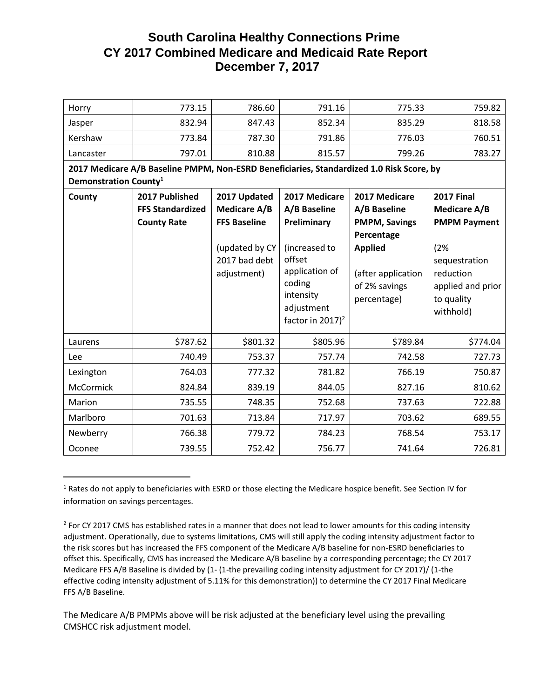| Horry                             | 773.15                                                                                   | 786.60                                                                                                       | 791.16                                                                                                                                                         | 775.33                                                                                                                                      | 759.82                                                                                                                                               |
|-----------------------------------|------------------------------------------------------------------------------------------|--------------------------------------------------------------------------------------------------------------|----------------------------------------------------------------------------------------------------------------------------------------------------------------|---------------------------------------------------------------------------------------------------------------------------------------------|------------------------------------------------------------------------------------------------------------------------------------------------------|
| Jasper                            | 832.94                                                                                   | 847.43                                                                                                       | 852.34                                                                                                                                                         | 835.29                                                                                                                                      | 818.58                                                                                                                                               |
| Kershaw                           | 773.84                                                                                   | 787.30                                                                                                       | 791.86                                                                                                                                                         | 776.03                                                                                                                                      | 760.51                                                                                                                                               |
| Lancaster                         | 797.01                                                                                   | 810.88                                                                                                       | 815.57                                                                                                                                                         | 799.26                                                                                                                                      | 783.27                                                                                                                                               |
|                                   | 2017 Medicare A/B Baseline PMPM, Non-ESRD Beneficiaries, Standardized 1.0 Risk Score, by |                                                                                                              |                                                                                                                                                                |                                                                                                                                             |                                                                                                                                                      |
| Demonstration County <sup>1</sup> |                                                                                          |                                                                                                              |                                                                                                                                                                |                                                                                                                                             |                                                                                                                                                      |
| County                            | 2017 Published<br><b>FFS Standardized</b><br><b>County Rate</b>                          | 2017 Updated<br><b>Medicare A/B</b><br><b>FFS Baseline</b><br>(updated by CY<br>2017 bad debt<br>adjustment) | 2017 Medicare<br>A/B Baseline<br>Preliminary<br>(increased to<br>offset<br>application of<br>coding<br>intensity<br>adjustment<br>factor in 2017) <sup>2</sup> | 2017 Medicare<br>A/B Baseline<br><b>PMPM, Savings</b><br>Percentage<br><b>Applied</b><br>(after application<br>of 2% savings<br>percentage) | <b>2017 Final</b><br><b>Medicare A/B</b><br><b>PMPM Payment</b><br>(2%<br>sequestration<br>reduction<br>applied and prior<br>to quality<br>withhold) |
| Laurens                           | \$787.62                                                                                 | \$801.32                                                                                                     | \$805.96                                                                                                                                                       | \$789.84                                                                                                                                    | \$774.04                                                                                                                                             |
| Lee                               | 740.49                                                                                   | 753.37                                                                                                       | 757.74                                                                                                                                                         | 742.58                                                                                                                                      | 727.73                                                                                                                                               |
| Lexington                         | 764.03                                                                                   | 777.32                                                                                                       | 781.82                                                                                                                                                         | 766.19                                                                                                                                      | 750.87                                                                                                                                               |
| <b>McCormick</b>                  | 824.84                                                                                   | 839.19                                                                                                       | 844.05                                                                                                                                                         | 827.16                                                                                                                                      | 810.62                                                                                                                                               |
| Marion                            | 735.55                                                                                   | 748.35                                                                                                       | 752.68                                                                                                                                                         | 737.63                                                                                                                                      | 722.88                                                                                                                                               |
| Marlboro                          | 701.63                                                                                   | 713.84                                                                                                       | 717.97                                                                                                                                                         | 703.62                                                                                                                                      | 689.55                                                                                                                                               |
| Newberry                          | 766.38                                                                                   | 779.72                                                                                                       | 784.23                                                                                                                                                         | 768.54                                                                                                                                      | 753.17                                                                                                                                               |
| Oconee                            | 739.55                                                                                   | 752.42                                                                                                       | 756.77                                                                                                                                                         | 741.64                                                                                                                                      | 726.81                                                                                                                                               |

 $1$  Rates do not apply to beneficiaries with ESRD or those electing the Medicare hospice benefit. See Section IV for information on savings percentages.

 $\overline{\phantom{a}}$ 

The Medicare A/B PMPMs above will be risk adjusted at the beneficiary level using the prevailing CMSHCC risk adjustment model.

 $2$  For CY 2017 CMS has established rates in a manner that does not lead to lower amounts for this coding intensity adjustment. Operationally, due to systems limitations, CMS will still apply the coding intensity adjustment factor to the risk scores but has increased the FFS component of the Medicare A/B baseline for non-ESRD beneficiaries to offset this. Specifically, CMS has increased the Medicare A/B baseline by a corresponding percentage; the CY 2017 Medicare FFS A/B Baseline is divided by (1- (1-the prevailing coding intensity adjustment for CY 2017)/ (1-the effective coding intensity adjustment of 5.11% for this demonstration)) to determine the CY 2017 Final Medicare FFS A/B Baseline.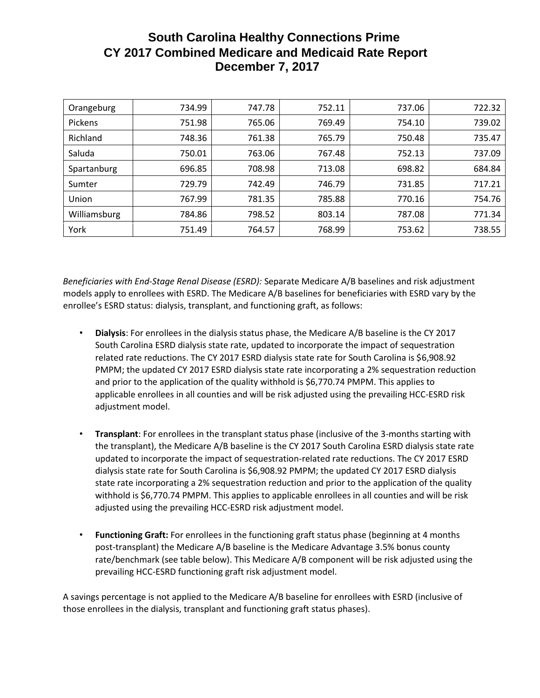| Orangeburg   | 734.99 | 747.78 | 752.11 | 737.06 | 722.32 |
|--------------|--------|--------|--------|--------|--------|
| Pickens      | 751.98 | 765.06 | 769.49 | 754.10 | 739.02 |
| Richland     | 748.36 | 761.38 | 765.79 | 750.48 | 735.47 |
| Saluda       | 750.01 | 763.06 | 767.48 | 752.13 | 737.09 |
| Spartanburg  | 696.85 | 708.98 | 713.08 | 698.82 | 684.84 |
| Sumter       | 729.79 | 742.49 | 746.79 | 731.85 | 717.21 |
| Union        | 767.99 | 781.35 | 785.88 | 770.16 | 754.76 |
| Williamsburg | 784.86 | 798.52 | 803.14 | 787.08 | 771.34 |
| York         | 751.49 | 764.57 | 768.99 | 753.62 | 738.55 |

*Beneficiaries with End-Stage Renal Disease (ESRD):* Separate Medicare A/B baselines and risk adjustment models apply to enrollees with ESRD. The Medicare A/B baselines for beneficiaries with ESRD vary by the enrollee's ESRD status: dialysis, transplant, and functioning graft, as follows:

- **Dialysis**: For enrollees in the dialysis status phase, the Medicare A/B baseline is the CY 2017 South Carolina ESRD dialysis state rate, updated to incorporate the impact of sequestration related rate reductions. The CY 2017 ESRD dialysis state rate for South Carolina is \$6,908.92 PMPM; the updated CY 2017 ESRD dialysis state rate incorporating a 2% sequestration reduction and prior to the application of the quality withhold is \$6,770.74 PMPM. This applies to applicable enrollees in all counties and will be risk adjusted using the prevailing HCC-ESRD risk adjustment model.
- **Transplant**: For enrollees in the transplant status phase (inclusive of the 3-months starting with the transplant), the Medicare A/B baseline is the CY 2017 South Carolina ESRD dialysis state rate updated to incorporate the impact of sequestration-related rate reductions. The CY 2017 ESRD dialysis state rate for South Carolina is \$6,908.92 PMPM; the updated CY 2017 ESRD dialysis state rate incorporating a 2% sequestration reduction and prior to the application of the quality withhold is \$6,770.74 PMPM. This applies to applicable enrollees in all counties and will be risk adjusted using the prevailing HCC-ESRD risk adjustment model.
- **Functioning Graft:** For enrollees in the functioning graft status phase (beginning at 4 months post-transplant) the Medicare A/B baseline is the Medicare Advantage 3.5% bonus county rate/benchmark (see table below). This Medicare A/B component will be risk adjusted using the prevailing HCC-ESRD functioning graft risk adjustment model.

A savings percentage is not applied to the Medicare A/B baseline for enrollees with ESRD (inclusive of those enrollees in the dialysis, transplant and functioning graft status phases).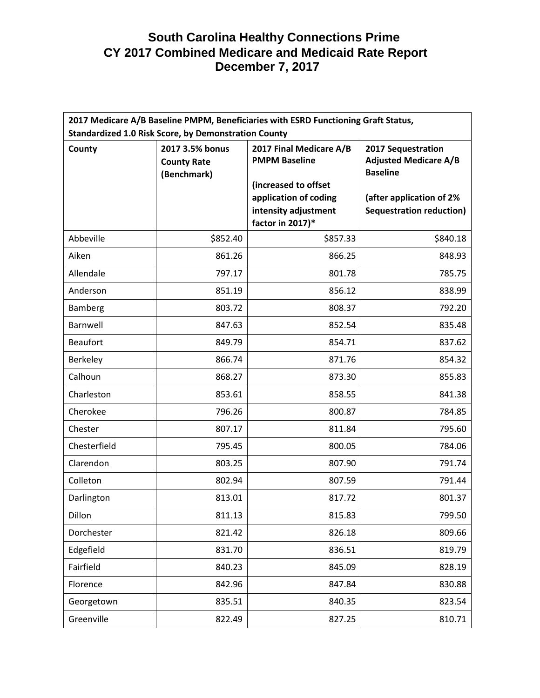| 2017 Medicare A/B Baseline PMPM, Beneficiaries with ESRD Functioning Graft Status, |                                                      |                                                                                           |                                                                       |  |
|------------------------------------------------------------------------------------|------------------------------------------------------|-------------------------------------------------------------------------------------------|-----------------------------------------------------------------------|--|
| <b>Standardized 1.0 Risk Score, by Demonstration County</b>                        |                                                      |                                                                                           |                                                                       |  |
| County                                                                             | 2017 3.5% bonus<br><b>County Rate</b><br>(Benchmark) | 2017 Final Medicare A/B<br><b>PMPM Baseline</b>                                           | 2017 Sequestration<br><b>Adjusted Medicare A/B</b><br><b>Baseline</b> |  |
|                                                                                    |                                                      | (increased to offset<br>application of coding<br>intensity adjustment<br>factor in 2017)* | (after application of 2%<br><b>Sequestration reduction)</b>           |  |
| Abbeville                                                                          | \$852.40                                             | \$857.33                                                                                  | \$840.18                                                              |  |
| Aiken                                                                              | 861.26                                               | 866.25                                                                                    | 848.93                                                                |  |
| Allendale                                                                          | 797.17                                               | 801.78                                                                                    | 785.75                                                                |  |
| Anderson                                                                           | 851.19                                               | 856.12                                                                                    | 838.99                                                                |  |
| <b>Bamberg</b>                                                                     | 803.72                                               | 808.37                                                                                    | 792.20                                                                |  |
| Barnwell                                                                           | 847.63                                               | 852.54                                                                                    | 835.48                                                                |  |
| <b>Beaufort</b>                                                                    | 849.79                                               | 854.71                                                                                    | 837.62                                                                |  |
| Berkeley                                                                           | 866.74                                               | 871.76                                                                                    | 854.32                                                                |  |
| Calhoun                                                                            | 868.27                                               | 873.30                                                                                    | 855.83                                                                |  |
| Charleston                                                                         | 853.61                                               | 858.55                                                                                    | 841.38                                                                |  |
| Cherokee                                                                           | 796.26                                               | 800.87                                                                                    | 784.85                                                                |  |
| Chester                                                                            | 807.17                                               | 811.84                                                                                    | 795.60                                                                |  |
| Chesterfield                                                                       | 795.45                                               | 800.05                                                                                    | 784.06                                                                |  |
| Clarendon                                                                          | 803.25                                               | 807.90                                                                                    | 791.74                                                                |  |
| Colleton                                                                           | 802.94                                               | 807.59                                                                                    | 791.44                                                                |  |
| Darlington                                                                         | 813.01                                               | 817.72                                                                                    | 801.37                                                                |  |
| Dillon                                                                             | 811.13                                               | 815.83                                                                                    | 799.50                                                                |  |
| Dorchester                                                                         | 821.42                                               | 826.18                                                                                    | 809.66                                                                |  |
| Edgefield                                                                          | 831.70                                               | 836.51                                                                                    | 819.79                                                                |  |
| Fairfield                                                                          | 840.23                                               | 845.09                                                                                    | 828.19                                                                |  |
| Florence                                                                           | 842.96                                               | 847.84                                                                                    | 830.88                                                                |  |
| Georgetown                                                                         | 835.51                                               | 840.35                                                                                    | 823.54                                                                |  |
| Greenville                                                                         | 822.49                                               | 827.25                                                                                    | 810.71                                                                |  |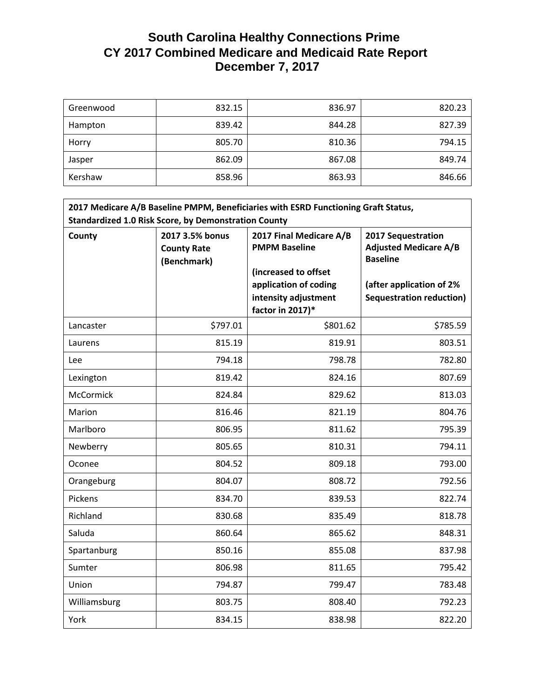| Greenwood | 832.15 | 836.97 | 820.23 |
|-----------|--------|--------|--------|
| Hampton   | 839.42 | 844.28 | 827.39 |
| Horry     | 805.70 | 810.36 | 794.15 |
| Jasper    | 862.09 | 867.08 | 849.74 |
| Kershaw   | 858.96 | 863.93 | 846.66 |

| 2017 Medicare A/B Baseline PMPM, Beneficiaries with ESRD Functioning Graft Status,<br><b>Standardized 1.0 Risk Score, by Demonstration County</b> |                                                      |                                                                                                                                              |                                                                                                                                      |  |
|---------------------------------------------------------------------------------------------------------------------------------------------------|------------------------------------------------------|----------------------------------------------------------------------------------------------------------------------------------------------|--------------------------------------------------------------------------------------------------------------------------------------|--|
| County                                                                                                                                            | 2017 3.5% bonus<br><b>County Rate</b><br>(Benchmark) | 2017 Final Medicare A/B<br><b>PMPM Baseline</b><br>(increased to offset<br>application of coding<br>intensity adjustment<br>factor in 2017)* | 2017 Sequestration<br><b>Adjusted Medicare A/B</b><br><b>Baseline</b><br>(after application of 2%<br><b>Sequestration reduction)</b> |  |
| Lancaster                                                                                                                                         | \$797.01                                             | \$801.62                                                                                                                                     | \$785.59                                                                                                                             |  |
| Laurens                                                                                                                                           | 815.19                                               | 819.91                                                                                                                                       | 803.51                                                                                                                               |  |
| Lee                                                                                                                                               | 794.18                                               | 798.78                                                                                                                                       | 782.80                                                                                                                               |  |
| Lexington                                                                                                                                         | 819.42                                               | 824.16                                                                                                                                       | 807.69                                                                                                                               |  |
| <b>McCormick</b>                                                                                                                                  | 824.84                                               | 829.62                                                                                                                                       | 813.03                                                                                                                               |  |
| Marion                                                                                                                                            | 816.46                                               | 821.19                                                                                                                                       | 804.76                                                                                                                               |  |
| Marlboro                                                                                                                                          | 806.95                                               | 811.62                                                                                                                                       | 795.39                                                                                                                               |  |
| Newberry                                                                                                                                          | 805.65                                               | 810.31                                                                                                                                       | 794.11                                                                                                                               |  |
| Oconee                                                                                                                                            | 804.52                                               | 809.18                                                                                                                                       | 793.00                                                                                                                               |  |
| Orangeburg                                                                                                                                        | 804.07                                               | 808.72                                                                                                                                       | 792.56                                                                                                                               |  |
| Pickens                                                                                                                                           | 834.70                                               | 839.53                                                                                                                                       | 822.74                                                                                                                               |  |
| Richland                                                                                                                                          | 830.68                                               | 835.49                                                                                                                                       | 818.78                                                                                                                               |  |
| Saluda                                                                                                                                            | 860.64                                               | 865.62                                                                                                                                       | 848.31                                                                                                                               |  |
| Spartanburg                                                                                                                                       | 850.16                                               | 855.08                                                                                                                                       | 837.98                                                                                                                               |  |
| Sumter                                                                                                                                            | 806.98                                               | 811.65                                                                                                                                       | 795.42                                                                                                                               |  |
| Union                                                                                                                                             | 794.87                                               | 799.47                                                                                                                                       | 783.48                                                                                                                               |  |
| Williamsburg                                                                                                                                      | 803.75                                               | 808.40                                                                                                                                       | 792.23                                                                                                                               |  |
| York                                                                                                                                              | 834.15                                               | 838.98                                                                                                                                       | 822.20                                                                                                                               |  |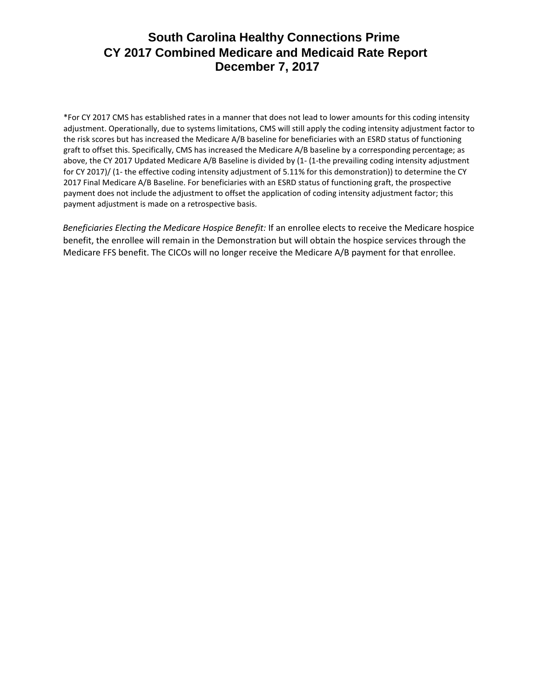\*For CY 2017 CMS has established rates in a manner that does not lead to lower amounts for this coding intensity adjustment. Operationally, due to systems limitations, CMS will still apply the coding intensity adjustment factor to the risk scores but has increased the Medicare A/B baseline for beneficiaries with an ESRD status of functioning graft to offset this. Specifically, CMS has increased the Medicare A/B baseline by a corresponding percentage; as above, the CY 2017 Updated Medicare A/B Baseline is divided by (1- (1-the prevailing coding intensity adjustment for CY 2017)/ (1- the effective coding intensity adjustment of 5.11% for this demonstration)) to determine the CY 2017 Final Medicare A/B Baseline. For beneficiaries with an ESRD status of functioning graft, the prospective payment does not include the adjustment to offset the application of coding intensity adjustment factor; this payment adjustment is made on a retrospective basis.

*Beneficiaries Electing the Medicare Hospice Benefit:* If an enrollee elects to receive the Medicare hospice benefit, the enrollee will remain in the Demonstration but will obtain the hospice services through the Medicare FFS benefit. The CICOs will no longer receive the Medicare A/B payment for that enrollee.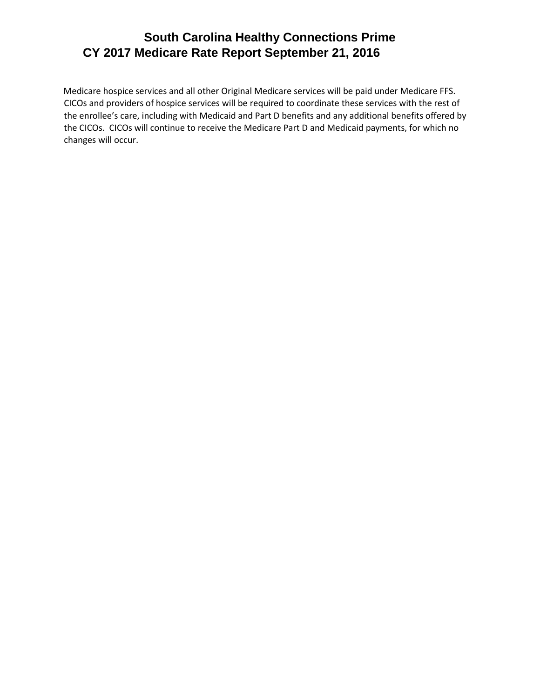## **South Carolina Healthy Connections Prime CY 2017 Medicare Rate Report September 21, 2016**

Medicare hospice services and all other Original Medicare services will be paid under Medicare FFS. CICOs and providers of hospice services will be required to coordinate these services with the rest of the enrollee's care, including with Medicaid and Part D benefits and any additional benefits offered by the CICOs. CICOs will continue to receive the Medicare Part D and Medicaid payments, for which no changes will occur.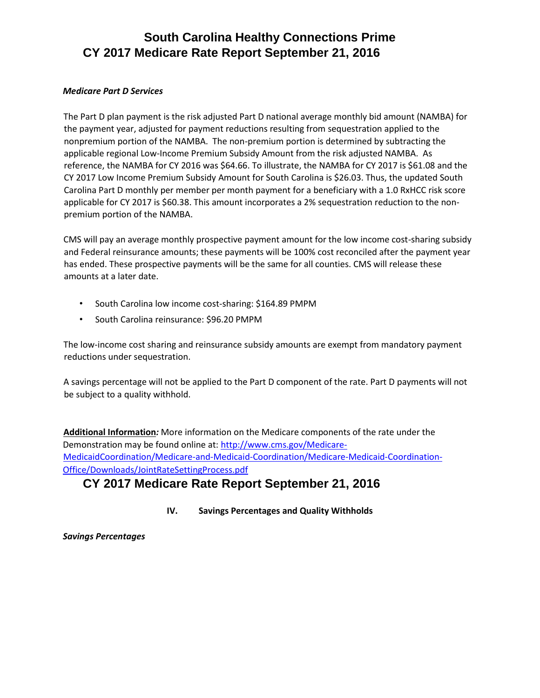### **South Carolina Healthy Connections Prime CY 2017 Medicare Rate Report September 21, 2016**

#### *Medicare Part D Services*

The Part D plan payment is the risk adjusted Part D national average monthly bid amount (NAMBA) for the payment year, adjusted for payment reductions resulting from sequestration applied to the nonpremium portion of the NAMBA. The non-premium portion is determined by subtracting the applicable regional Low-Income Premium Subsidy Amount from the risk adjusted NAMBA. As reference, the NAMBA for CY 2016 was \$64.66. To illustrate, the NAMBA for CY 2017 is \$61.08 and the CY 2017 Low Income Premium Subsidy Amount for South Carolina is \$26.03. Thus, the updated South Carolina Part D monthly per member per month payment for a beneficiary with a 1.0 RxHCC risk score applicable for CY 2017 is \$60.38. This amount incorporates a 2% sequestration reduction to the nonpremium portion of the NAMBA.

CMS will pay an average monthly prospective payment amount for the low income cost-sharing subsidy and Federal reinsurance amounts; these payments will be 100% cost reconciled after the payment year has ended. These prospective payments will be the same for all counties. CMS will release these amounts at a later date.

- South Carolina low income cost-sharing: \$164.89 PMPM
- South Carolina reinsurance: \$96.20 PMPM

The low-income cost sharing and reinsurance subsidy amounts are exempt from mandatory payment reductions under sequestration.

A savings percentage will not be applied to the Part D component of the rate. Part D payments will not be subject to a quality withhold.

**Additional Information***:* More information on the Medicare components of the rate under the Demonstration may be found online at: [http://www.cms.gov/Medicare-](http://www.cms.gov/Medicare-Medicaid-Coordination/Medicare-and-Medicaid-Coordination/Medicare-Medicaid-Coordination-Office/Downloads/JointRateSettingProcess.pdf)[MedicaidCoordination/Medicare-and-Medicaid-Coordination/Medicare-Medicaid-Coordination-](http://www.cms.gov/Medicare-Medicaid-Coordination/Medicare-and-Medicaid-Coordination/Medicare-Medicaid-Coordination-Office/Downloads/JointRateSettingProcess.pdf)[Office/Downloads/JointRateSettingProcess.pdf](http://www.cms.gov/Medicare-Medicaid-Coordination/Medicare-and-Medicaid-Coordination/Medicare-Medicaid-Coordination-Office/Downloads/JointRateSettingProcess.pdf)

## **CY 2017 Medicare Rate Report September 21, 2016**

**IV. Savings Percentages and Quality Withholds** 

*Savings Percentages*